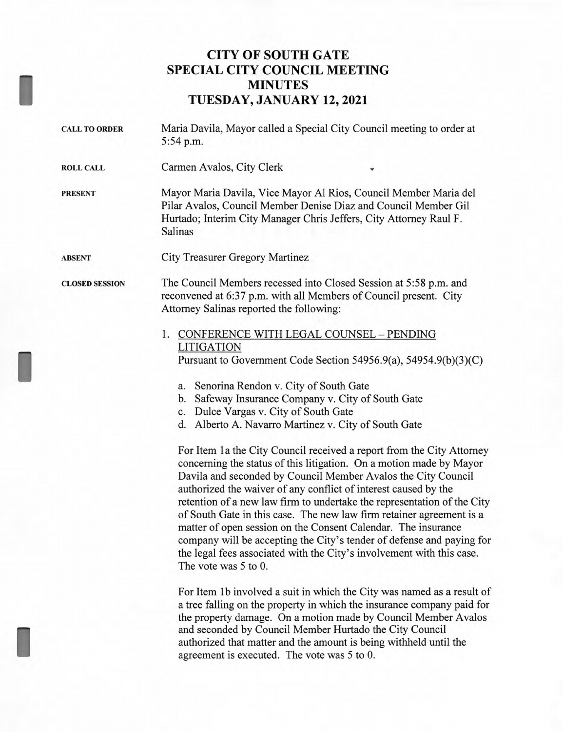## **CITY OF SOUTH GATE SPECIAL CITY COUNCIL MEETING MINUTES TUESDAY, JANUARY 12, 2021**

I

I

I

| <b>CALL TO ORDER</b>  | Maria Davila, Mayor called a Special City Council meeting to order at<br>5:54 p.m.                                                                                                                                                                                                                                                                                                                                                                                                                                                                                                                                                                                                                                                                                                                                                                                                                                                                                                               |
|-----------------------|--------------------------------------------------------------------------------------------------------------------------------------------------------------------------------------------------------------------------------------------------------------------------------------------------------------------------------------------------------------------------------------------------------------------------------------------------------------------------------------------------------------------------------------------------------------------------------------------------------------------------------------------------------------------------------------------------------------------------------------------------------------------------------------------------------------------------------------------------------------------------------------------------------------------------------------------------------------------------------------------------|
| <b>ROLL CALL</b>      | Carmen Avalos, City Clerk                                                                                                                                                                                                                                                                                                                                                                                                                                                                                                                                                                                                                                                                                                                                                                                                                                                                                                                                                                        |
| <b>PRESENT</b>        | Mayor Maria Davila, Vice Mayor Al Rios, Council Member Maria del<br>Pilar Avalos, Council Member Denise Diaz and Council Member Gil<br>Hurtado; Interim City Manager Chris Jeffers, City Attorney Raul F.<br><b>Salinas</b>                                                                                                                                                                                                                                                                                                                                                                                                                                                                                                                                                                                                                                                                                                                                                                      |
| ABSENT                | City Treasurer Gregory Martinez                                                                                                                                                                                                                                                                                                                                                                                                                                                                                                                                                                                                                                                                                                                                                                                                                                                                                                                                                                  |
| <b>CLOSED SESSION</b> | The Council Members recessed into Closed Session at 5:58 p.m. and<br>reconvened at 6:37 p.m. with all Members of Council present. City<br>Attorney Salinas reported the following:                                                                                                                                                                                                                                                                                                                                                                                                                                                                                                                                                                                                                                                                                                                                                                                                               |
|                       | 1. CONFERENCE WITH LEGAL COUNSEL - PENDING<br><b>LITIGATION</b><br>Pursuant to Government Code Section 54956.9(a), 54954.9(b)(3)(C)<br>a. Senorina Rendon v. City of South Gate<br>b. Safeway Insurance Company v. City of South Gate<br>c. Dulce Vargas v. City of South Gate<br>d. Alberto A. Navarro Martinez v. City of South Gate<br>For Item 1a the City Council received a report from the City Attorney<br>concerning the status of this litigation. On a motion made by Mayor<br>Davila and seconded by Council Member Avalos the City Council<br>authorized the waiver of any conflict of interest caused by the<br>retention of a new law firm to undertake the representation of the City<br>of South Gate in this case. The new law firm retainer agreement is a<br>matter of open session on the Consent Calendar. The insurance<br>company will be accepting the City's tender of defense and paying for<br>the legal fees associated with the City's involvement with this case. |
|                       | The vote was 5 to 0.<br>For Item 1b involved a suit in which the City was named as a result of<br>$-3$ , $-1$ , $-1$ , $-1$ , $-1$ , $-1$ , $-1$ , $-1$ , $-1$ , $-1$ , $-1$                                                                                                                                                                                                                                                                                                                                                                                                                                                                                                                                                                                                                                                                                                                                                                                                                     |

a tree falling on the property in which the insurance company paid for the property damage. On a motion made by Council Member Avalos and seconded by Council Member Hurtado the City Council authorized that matter and the amount is being withheld until the agreement is executed. The vote was 5 to 0.